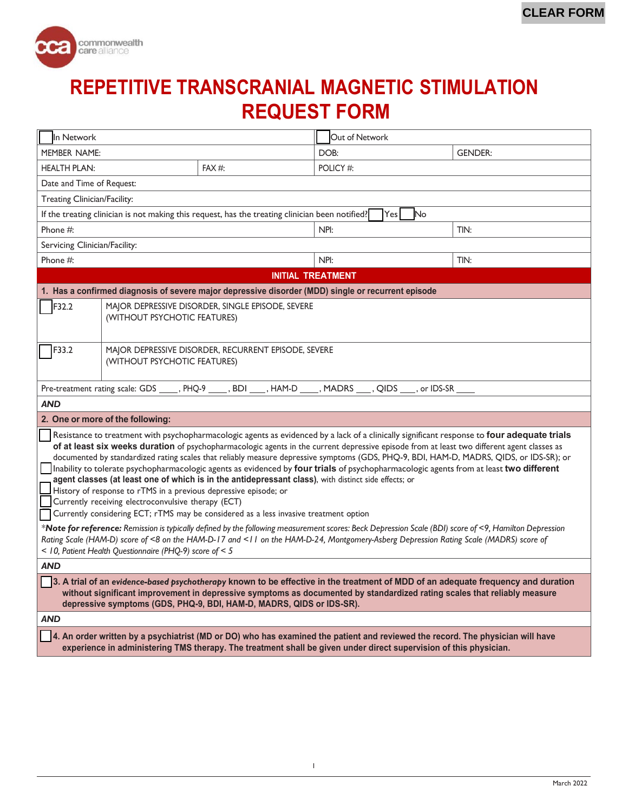

## **REPETITIVE TRANSCRANIAL MAGNETIC STIMULATION REQUEST FORM**

| In Network                                                                                                                                                                                                                                                                                                                                                                                                                                                                                                                                                                                                                                                                                                                                                                                                                                                                                                                                                                                                                                                                                                                                                                                                                                                                          |                                                                                      |      | Out of Network                                                                                                |                |  |
|-------------------------------------------------------------------------------------------------------------------------------------------------------------------------------------------------------------------------------------------------------------------------------------------------------------------------------------------------------------------------------------------------------------------------------------------------------------------------------------------------------------------------------------------------------------------------------------------------------------------------------------------------------------------------------------------------------------------------------------------------------------------------------------------------------------------------------------------------------------------------------------------------------------------------------------------------------------------------------------------------------------------------------------------------------------------------------------------------------------------------------------------------------------------------------------------------------------------------------------------------------------------------------------|--------------------------------------------------------------------------------------|------|---------------------------------------------------------------------------------------------------------------|----------------|--|
| <b>MEMBER NAME:</b>                                                                                                                                                                                                                                                                                                                                                                                                                                                                                                                                                                                                                                                                                                                                                                                                                                                                                                                                                                                                                                                                                                                                                                                                                                                                 |                                                                                      |      | DOB:                                                                                                          | <b>GENDER:</b> |  |
| <b>HEALTH PLAN:</b><br>FAX #:                                                                                                                                                                                                                                                                                                                                                                                                                                                                                                                                                                                                                                                                                                                                                                                                                                                                                                                                                                                                                                                                                                                                                                                                                                                       |                                                                                      |      | POLICY#:                                                                                                      |                |  |
| Date and Time of Request:                                                                                                                                                                                                                                                                                                                                                                                                                                                                                                                                                                                                                                                                                                                                                                                                                                                                                                                                                                                                                                                                                                                                                                                                                                                           |                                                                                      |      |                                                                                                               |                |  |
| Treating Clinician/Facility:                                                                                                                                                                                                                                                                                                                                                                                                                                                                                                                                                                                                                                                                                                                                                                                                                                                                                                                                                                                                                                                                                                                                                                                                                                                        |                                                                                      |      |                                                                                                               |                |  |
| If the treating clinician is not making this request, has the treating clinician been notified?<br>Yesl<br>No                                                                                                                                                                                                                                                                                                                                                                                                                                                                                                                                                                                                                                                                                                                                                                                                                                                                                                                                                                                                                                                                                                                                                                       |                                                                                      |      |                                                                                                               |                |  |
| Phone #:                                                                                                                                                                                                                                                                                                                                                                                                                                                                                                                                                                                                                                                                                                                                                                                                                                                                                                                                                                                                                                                                                                                                                                                                                                                                            |                                                                                      |      | NPI:                                                                                                          | TIN:           |  |
| Servicing Clinician/Facility:                                                                                                                                                                                                                                                                                                                                                                                                                                                                                                                                                                                                                                                                                                                                                                                                                                                                                                                                                                                                                                                                                                                                                                                                                                                       |                                                                                      |      |                                                                                                               |                |  |
| Phone #:                                                                                                                                                                                                                                                                                                                                                                                                                                                                                                                                                                                                                                                                                                                                                                                                                                                                                                                                                                                                                                                                                                                                                                                                                                                                            |                                                                                      | NPI: | TIN:                                                                                                          |                |  |
| <b>INITIAL TREATMENT</b>                                                                                                                                                                                                                                                                                                                                                                                                                                                                                                                                                                                                                                                                                                                                                                                                                                                                                                                                                                                                                                                                                                                                                                                                                                                            |                                                                                      |      |                                                                                                               |                |  |
| 1. Has a confirmed diagnosis of severe major depressive disorder (MDD) single or recurrent episode                                                                                                                                                                                                                                                                                                                                                                                                                                                                                                                                                                                                                                                                                                                                                                                                                                                                                                                                                                                                                                                                                                                                                                                  |                                                                                      |      |                                                                                                               |                |  |
| F32.2                                                                                                                                                                                                                                                                                                                                                                                                                                                                                                                                                                                                                                                                                                                                                                                                                                                                                                                                                                                                                                                                                                                                                                                                                                                                               | MAJOR DEPRESSIVE DISORDER, SINGLE EPISODE, SEVERE<br>(WITHOUT PSYCHOTIC FEATURES)    |      |                                                                                                               |                |  |
| F33.2                                                                                                                                                                                                                                                                                                                                                                                                                                                                                                                                                                                                                                                                                                                                                                                                                                                                                                                                                                                                                                                                                                                                                                                                                                                                               | MAJOR DEPRESSIVE DISORDER, RECURRENT EPISODE, SEVERE<br>(WITHOUT PSYCHOTIC FEATURES) |      |                                                                                                               |                |  |
|                                                                                                                                                                                                                                                                                                                                                                                                                                                                                                                                                                                                                                                                                                                                                                                                                                                                                                                                                                                                                                                                                                                                                                                                                                                                                     |                                                                                      |      | Pre-treatment rating scale: GDS _____, PHQ-9 _____, BDI ____, HAM-D _____, MADRS ____, QIDS ____, or IDS-SR _ |                |  |
| <b>AND</b>                                                                                                                                                                                                                                                                                                                                                                                                                                                                                                                                                                                                                                                                                                                                                                                                                                                                                                                                                                                                                                                                                                                                                                                                                                                                          |                                                                                      |      |                                                                                                               |                |  |
| 2. One or more of the following:                                                                                                                                                                                                                                                                                                                                                                                                                                                                                                                                                                                                                                                                                                                                                                                                                                                                                                                                                                                                                                                                                                                                                                                                                                                    |                                                                                      |      |                                                                                                               |                |  |
| Resistance to treatment with psychopharmacologic agents as evidenced by a lack of a clinically significant response to four adequate trials<br>of at least six weeks duration of psychopharmacologic agents in the current depressive episode from at least two different agent classes as<br>documented by standardized rating scales that reliably measure depressive symptoms (GDS, PHQ-9, BDI, HAM-D, MADRS, QIDS, or IDS-SR); or<br>Inability to tolerate psychopharmacologic agents as evidenced by four trials of psychopharmacologic agents from at least two different<br>agent classes (at least one of which is in the antidepressant class), with distinct side effects; or<br>History of response to rTMS in a previous depressive episode; or<br>Currently receiving electroconvulsive therapy (ECT)<br>Currently considering ECT; rTMS may be considered as a less invasive treatment option<br>* <b>Note for reference:</b> Remission is typically defined by the following measurement scores: Beck Depression Scale (BDI) score of <9, Hamilton Depression<br>Rating Scale (HAM-D) score of <8 on the HAM-D-17 and <11 on the HAM-D-24, Montgomery-Asberg Depression Rating Scale (MADRS) score of<br>$<$ 10, Patient Health Questionnaire (PHQ-9) score of $<$ 5 |                                                                                      |      |                                                                                                               |                |  |
| <b>AND</b>                                                                                                                                                                                                                                                                                                                                                                                                                                                                                                                                                                                                                                                                                                                                                                                                                                                                                                                                                                                                                                                                                                                                                                                                                                                                          |                                                                                      |      |                                                                                                               |                |  |
| 3. A trial of an evidence-based psychotherapy known to be effective in the treatment of MDD of an adequate frequency and duration<br>without significant improvement in depressive symptoms as documented by standardized rating scales that reliably measure<br>depressive symptoms (GDS, PHQ-9, BDI, HAM-D, MADRS, QIDS or IDS-SR).                                                                                                                                                                                                                                                                                                                                                                                                                                                                                                                                                                                                                                                                                                                                                                                                                                                                                                                                               |                                                                                      |      |                                                                                                               |                |  |
| AND                                                                                                                                                                                                                                                                                                                                                                                                                                                                                                                                                                                                                                                                                                                                                                                                                                                                                                                                                                                                                                                                                                                                                                                                                                                                                 |                                                                                      |      |                                                                                                               |                |  |
| 4. An order written by a psychiatrist (MD or DO) who has examined the patient and reviewed the record. The physician will have<br>experience in administering TMS therapy. The treatment shall be given under direct supervision of this physician.                                                                                                                                                                                                                                                                                                                                                                                                                                                                                                                                                                                                                                                                                                                                                                                                                                                                                                                                                                                                                                 |                                                                                      |      |                                                                                                               |                |  |